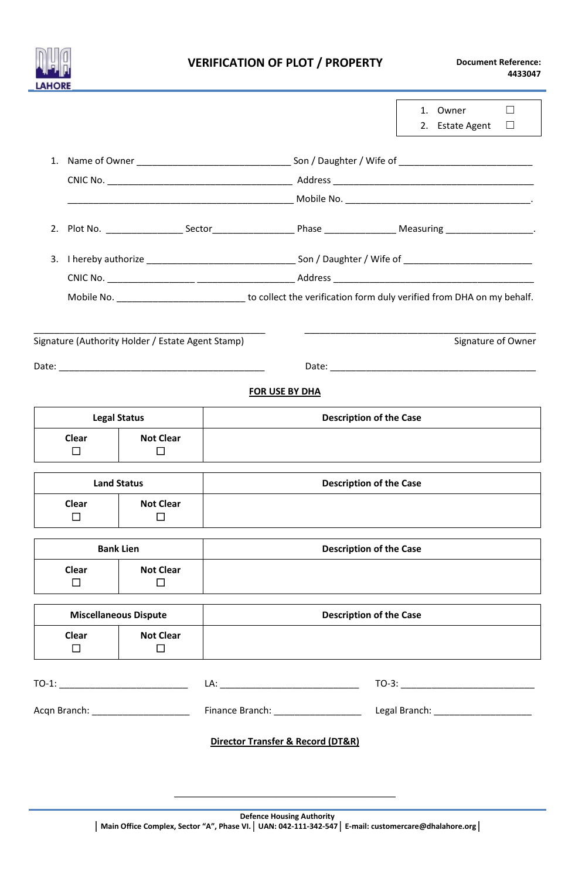

## **VERIFICATION OF PLOT / PROPERTY** Document Reference:

**4433047**

|                                      |                        |                                                                                                                    |                                |                                         |  |                    | 1. Owner<br>2. Estate Agent |  |
|--------------------------------------|------------------------|--------------------------------------------------------------------------------------------------------------------|--------------------------------|-----------------------------------------|--|--------------------|-----------------------------|--|
|                                      |                        |                                                                                                                    |                                |                                         |  |                    |                             |  |
|                                      |                        |                                                                                                                    |                                |                                         |  |                    |                             |  |
|                                      |                        |                                                                                                                    |                                |                                         |  |                    |                             |  |
|                                      |                        |                                                                                                                    |                                |                                         |  |                    |                             |  |
|                                      |                        |                                                                                                                    |                                |                                         |  |                    |                             |  |
|                                      |                        | Mobile No. _________________________________ to collect the verification form duly verified from DHA on my behalf. |                                |                                         |  |                    |                             |  |
|                                      |                        | Signature (Authority Holder / Estate Agent Stamp)                                                                  |                                |                                         |  | Signature of Owner |                             |  |
|                                      |                        |                                                                                                                    |                                |                                         |  |                    |                             |  |
|                                      |                        |                                                                                                                    | <b>FOR USE BY DHA</b>          |                                         |  |                    |                             |  |
|                                      | <b>Legal Status</b>    |                                                                                                                    |                                | <b>Description of the Case</b>          |  |                    |                             |  |
|                                      | Clear<br>П             | <b>Not Clear</b><br>$\Box$                                                                                         |                                |                                         |  |                    |                             |  |
| <b>Land Status</b>                   |                        |                                                                                                                    | <b>Description of the Case</b> |                                         |  |                    |                             |  |
|                                      | Clear<br>$\Box$        | <b>Not Clear</b><br>$\Box$                                                                                         |                                |                                         |  |                    |                             |  |
| <b>Bank Lien</b>                     |                        |                                                                                                                    | <b>Description of the Case</b> |                                         |  |                    |                             |  |
|                                      | <b>Clear</b><br>□      | <b>Not Clear</b><br>□                                                                                              |                                |                                         |  |                    |                             |  |
| <b>Miscellaneous Dispute</b>         |                        |                                                                                                                    | <b>Description of the Case</b> |                                         |  |                    |                             |  |
|                                      | <b>Clear</b><br>$\Box$ | <b>Not Clear</b><br>$\Box$                                                                                         |                                |                                         |  |                    |                             |  |
| TO-1: ______________________________ |                        |                                                                                                                    |                                |                                         |  |                    |                             |  |
| Acqn Branch: ____________________    |                        |                                                                                                                    |                                | Finance Branch: New York Prince Branch: |  |                    |                             |  |
| Director Transfer & Record (DT&R)    |                        |                                                                                                                    |                                |                                         |  |                    |                             |  |

\_\_\_\_\_\_\_\_\_\_\_\_\_\_\_\_\_\_\_\_\_\_\_\_\_\_\_\_\_\_\_\_\_\_\_\_\_\_\_\_\_\_\_